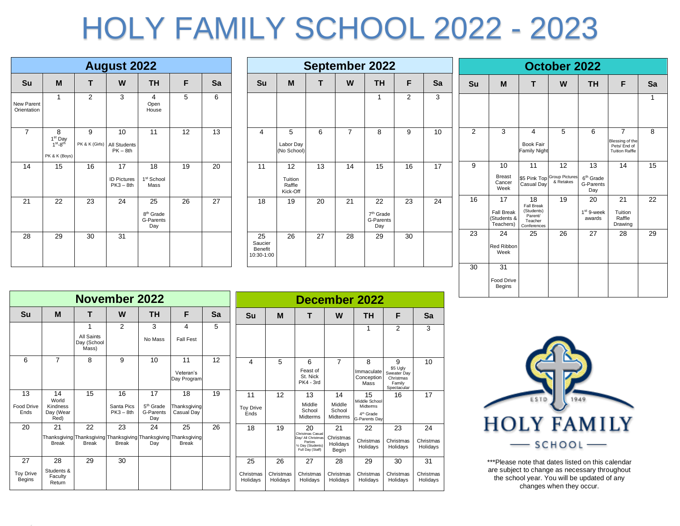## HOLY FAMILY SCHOOL 2022 - 2023

|                           |                                                                               |                     | <b>August 2022</b>                      |                                                 |    |    |  |  |  |  |  |  |
|---------------------------|-------------------------------------------------------------------------------|---------------------|-----------------------------------------|-------------------------------------------------|----|----|--|--|--|--|--|--|
| Su                        | M<br>W<br><b>TH</b><br>т<br>F<br>Sa                                           |                     |                                         |                                                 |    |    |  |  |  |  |  |  |
| New Parent<br>Orientation | 1                                                                             | $\overline{2}$      | 3                                       | 4<br>Open<br>House                              | 5  | 6  |  |  |  |  |  |  |
| $\overline{7}$            | 8<br>1 <sup>st</sup> Day<br>1 <sup>st</sup> -8 <sup>th</sup><br>PK & K (Boys) | 9<br>PK & K (Girls) | 10<br><b>All Students</b><br>$PK - 8th$ | 11                                              | 12 | 13 |  |  |  |  |  |  |
| 14                        | 15                                                                            | 16                  | 17<br><b>ID Pictures</b><br>$PK3 - 8th$ | 18<br>1 <sup>st</sup> School<br>Mass            | 19 | 20 |  |  |  |  |  |  |
| 21                        | 22                                                                            | 23                  | 24                                      | 25<br>8 <sup>th</sup> Grade<br>G-Parents<br>Day | 26 | 27 |  |  |  |  |  |  |
| 28                        | 29                                                                            | 30                  | 31                                      |                                                 |    |    |  |  |  |  |  |  |

|                                               |                                     |    |                | <b>September 2022</b>                           |                |    |                |         |
|-----------------------------------------------|-------------------------------------|----|----------------|-------------------------------------------------|----------------|----|----------------|---------|
| Su                                            | M                                   | т  | W              | <b>TH</b>                                       | F              | Sa | Su             |         |
|                                               |                                     |    |                | 1                                               | $\overline{2}$ | 3  |                |         |
| 4                                             | 5<br>Labor Day<br>(No School)       | 6  | $\overline{7}$ | 8                                               | 9              | 10 | 2              |         |
| 11                                            | 12<br>Tuition<br>Raffle<br>Kick-Off | 13 | 14             | 15                                              | 16             | 17 | 9              |         |
| 18                                            | 19                                  | 20 | 21             | 22<br>7 <sup>th</sup> Grade<br>G-Parents<br>Day | 23             | 24 | 16             | F<br>(S |
| 25<br>Saucier<br><b>Benefit</b><br>10:30-1:00 | 26                                  | 27 | 28             | 29                                              | 30             |    | 23<br>$\Omega$ | R       |

|                |                                                     |                                                                     | October 2022                                   |                                                 |                                                                            |    |
|----------------|-----------------------------------------------------|---------------------------------------------------------------------|------------------------------------------------|-------------------------------------------------|----------------------------------------------------------------------------|----|
| Su             | M                                                   | т                                                                   | W                                              | TН                                              | F                                                                          | Sa |
|                |                                                     |                                                                     |                                                |                                                 |                                                                            | 1  |
| $\overline{2}$ | 3                                                   | 4<br><b>Book Fair</b><br><b>Family Night</b>                        | 5                                              | 6                                               | $\overline{7}$<br>Blessing of the<br>Pets/ End of<br><b>Tuition Raffle</b> | 8  |
| 9              | 10<br><b>Breast</b><br>Cancer<br>Week               | 11<br>Casual Day                                                    | 12<br>\$5 Pink Top Group Pictures<br>& Retakes | 13<br>6 <sup>th</sup> Grade<br>G-Parents<br>Day | 14                                                                         | 15 |
| 16             | 17<br><b>Fall Break</b><br>(Students &<br>Teachers) | 18<br>Fall Break<br>(Students)<br>Parent/<br>Teacher<br>Conferences | 19                                             | 20<br>$1st$ 9-week<br>awards                    | 21<br>Tuition<br>Raffle<br>Drawing                                         | 22 |
| 23             | 24<br>Red Ribbon<br>Week                            | 25                                                                  | 26                                             | 27                                              | 28                                                                         | 29 |
| 30             | 31<br>Food Drive<br><b>Begins</b>                   |                                                                     |                                                |                                                 |                                                                            |    |

|                                   | November 2022                   |                                    |              |                       |                                                                                  |    |  |                       |                       |                                                                                             |                                | December 2022                                 |                                                               |                       |
|-----------------------------------|---------------------------------|------------------------------------|--------------|-----------------------|----------------------------------------------------------------------------------|----|--|-----------------------|-----------------------|---------------------------------------------------------------------------------------------|--------------------------------|-----------------------------------------------|---------------------------------------------------------------|-----------------------|
| <b>Su</b>                         | M                               |                                    | W            | ΤН                    | F                                                                                | Sa |  | Su                    | M                     |                                                                                             | W                              | <b>TH</b>                                     | F                                                             | Sa                    |
|                                   |                                 |                                    | 2            | 3                     | 4                                                                                | 5  |  |                       |                       |                                                                                             |                                |                                               | $\overline{2}$                                                | 3                     |
|                                   |                                 | All Saints<br>Day (School<br>Mass) |              | No Mass               | <b>Fall Fest</b>                                                                 |    |  |                       |                       |                                                                                             |                                |                                               |                                                               |                       |
| 6                                 | $\overline{7}$                  | 8                                  | 9            | 10                    | 11                                                                               | 12 |  | 4                     | 5                     | 6                                                                                           | $\overline{7}$                 | 8                                             | 9                                                             | 10                    |
|                                   |                                 |                                    |              |                       | Veteran's<br>Day Program                                                         |    |  |                       |                       | Feast of<br>St. Nick<br><b>PK4 - 3rd</b>                                                    |                                | Immaculate<br>Conception<br>Mass              | \$5 Ugly<br>Sweater Day<br>Christmas<br>Family<br>Spectacular |                       |
| 13                                | 14<br>World                     | 15                                 | 16           | 17                    | 18                                                                               | 19 |  | 11                    | 12                    | 13                                                                                          | 14                             | 15                                            | 16                                                            | 17                    |
| <b>Food Drive</b>                 | Kindness                        |                                    | Santa Pics   | 5 <sup>th</sup> Grade | Thanksgiving                                                                     |    |  | <b>Toy Drive</b>      |                       | Middle<br>School                                                                            | Middle<br>School               | Middle School<br>Midterms                     |                                                               |                       |
| Ends                              | Day (Wear<br>Red)               |                                    | $PK3 - 8th$  | G-Parents<br>Day      | Casual Day                                                                       |    |  | Ends                  |                       | Midterms                                                                                    | Midterms                       | 4 <sup>th</sup> Grade<br><b>G-Parents Day</b> |                                                               |                       |
| 20                                | 21                              | 22                                 | 23           | 24                    | 25                                                                               | 26 |  | 18                    | 19                    | 20                                                                                          | 21                             | 22                                            | 23                                                            | 24                    |
|                                   | <b>Break</b>                    | <b>Break</b>                       | <b>Break</b> | Dav                   | Thanksgiving Thanksgiving Thanksgiving Thanksgiving Thanksgiving<br><b>Break</b> |    |  |                       |                       | Christmas Casual<br>Day/ All Christmas<br>Parties<br>1/2 Day (Students)<br>Full Day (Staff) | Christmas<br>Holidays<br>Begin | Christmas<br>Holidays                         | Christmas<br>Holidays                                         | Christmas<br>Holidays |
| 27                                | 28                              | 29                                 | 30           |                       |                                                                                  |    |  | 25                    | 26                    | 27                                                                                          | 28                             | 29                                            | 30                                                            | 31                    |
| <b>Toy Drive</b><br><b>Begins</b> | Students &<br>Faculty<br>Return |                                    |              |                       |                                                                                  |    |  | Christmas<br>Holidays | Christmas<br>Holidays | Christmas<br>Holidays                                                                       | Christmas<br>Holidavs          | Christmas<br>Holidays                         | Christmas<br>Holidays                                         | Christmas<br>Holidays |



\*\*\*Please note that dates listed on this calendar are subject to change as necessary throughout the school year. You will be updated of any changes when they occur.